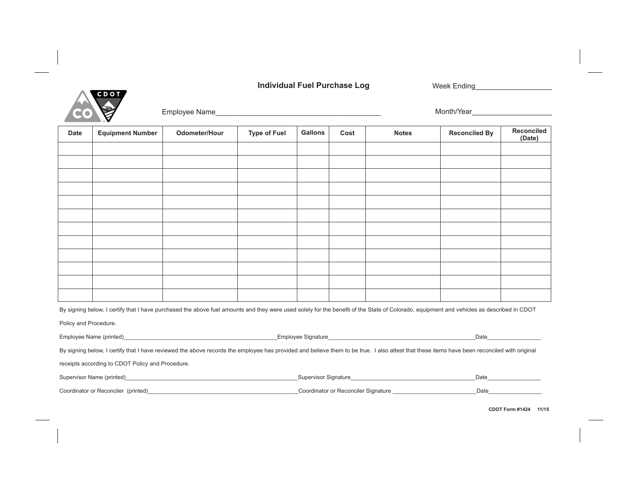## **Individual Fuel Purchase Log**

Week Ending\_\_\_\_\_\_\_\_\_\_\_\_\_\_\_\_\_\_\_



Employee Name\_\_\_\_\_\_\_\_\_\_\_\_\_\_\_\_\_\_\_\_\_\_\_\_\_\_\_\_\_\_\_\_\_\_\_\_\_\_\_\_\_

Month/Year

| Date                                                                                                                                                                                     | <b>Equipment Number</b> | Odometer/Hour | <b>Type of Fuel</b> | <b>Gallons</b> | Cost | <b>Notes</b> | <b>Reconciled By</b> | Reconciled<br>(Date) |
|------------------------------------------------------------------------------------------------------------------------------------------------------------------------------------------|-------------------------|---------------|---------------------|----------------|------|--------------|----------------------|----------------------|
|                                                                                                                                                                                          |                         |               |                     |                |      |              |                      |                      |
|                                                                                                                                                                                          |                         |               |                     |                |      |              |                      |                      |
|                                                                                                                                                                                          |                         |               |                     |                |      |              |                      |                      |
|                                                                                                                                                                                          |                         |               |                     |                |      |              |                      |                      |
|                                                                                                                                                                                          |                         |               |                     |                |      |              |                      |                      |
|                                                                                                                                                                                          |                         |               |                     |                |      |              |                      |                      |
|                                                                                                                                                                                          |                         |               |                     |                |      |              |                      |                      |
|                                                                                                                                                                                          |                         |               |                     |                |      |              |                      |                      |
|                                                                                                                                                                                          |                         |               |                     |                |      |              |                      |                      |
|                                                                                                                                                                                          |                         |               |                     |                |      |              |                      |                      |
|                                                                                                                                                                                          |                         |               |                     |                |      |              |                      |                      |
|                                                                                                                                                                                          |                         |               |                     |                |      |              |                      |                      |
| By signing below, I certify that I have purchased the above fuel amounts and they were used solely for the benefit of the State of Colorado, equipment and vehicles as described in CDOT |                         |               |                     |                |      |              |                      |                      |

Policy and Procedure.

| Employee Name (printed)                                                                                                                                                                     | Employee Signature                  | Date |  |  |  |  |
|---------------------------------------------------------------------------------------------------------------------------------------------------------------------------------------------|-------------------------------------|------|--|--|--|--|
| By signing below, I certify that I have reviewed the above records the employee has provided and believe them to be true. I also attest that these items have been reconciled with original |                                     |      |  |  |  |  |
| receipts according to CDOT Policy and Procedure.                                                                                                                                            |                                     |      |  |  |  |  |
| Supervisor Name (printed) Supervisor Supervisor Name (printed)                                                                                                                              |                                     | Date |  |  |  |  |
| Coordinator or Reconciler (printed)                                                                                                                                                         | Coordinator or Reconciler Signature | Date |  |  |  |  |

**CDOT Form #1424 11/15**